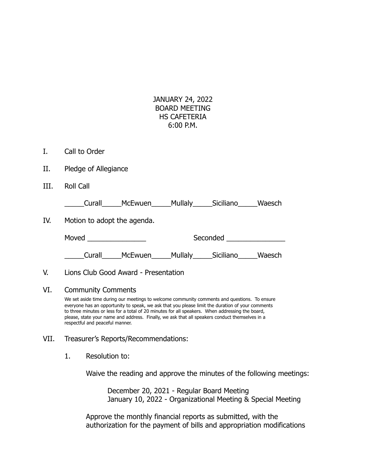| JANUARY 24, 2022     |
|----------------------|
| <b>BOARD MEETING</b> |
| HS CAFFTFRIA         |
| $6:00$ P.M.          |

- I. Call to Order
- II. Pledge of Allegiance
- III. Roll Call

\_\_\_\_\_Curall\_\_\_\_\_McEwuen\_\_\_\_\_Mullaly\_\_\_\_\_Siciliano\_\_\_\_\_Waesch

IV. Motion to adopt the agenda.

| Moved | Seconded |  |
|-------|----------|--|
|       |          |  |

\_\_\_\_\_Curall\_\_\_\_\_McEwuen\_\_\_\_\_Mullaly\_\_\_\_\_Siciliano\_\_\_\_\_Waesch

### V. Lions Club Good Award - Presentation

### VI. Community Comments

We set aside time during our meetings to welcome community comments and questions. To ensure everyone has an opportunity to speak, we ask that you please limit the duration of your comments to three minutes or less for a total of 20 minutes for all speakers. When addressing the board, please, state your name and address. Finally, we ask that all speakers conduct themselves in a respectful and peaceful manner.

## VII. Treasurer's Reports/Recommendations:

1. Resolution to:

Waive the reading and approve the minutes of the following meetings:

December 20, 2021 - Regular Board Meeting January 10, 2022 - Organizational Meeting & Special Meeting

Approve the monthly financial reports as submitted, with the authorization for the payment of bills and appropriation modifications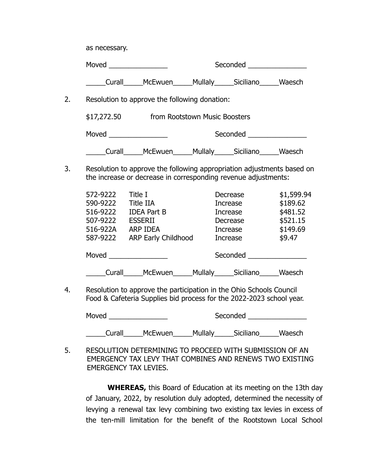as necessary.

Moved \_\_\_\_\_\_\_\_\_\_\_\_\_\_\_ Seconded \_\_\_\_\_\_\_\_\_\_\_\_\_\_\_

\_\_\_\_\_Curall\_\_\_\_\_McEwuen\_\_\_\_\_Mullaly\_\_\_\_\_Siciliano\_\_\_\_\_Waesch

2. Resolution to approve the following donation:

\$17,272.50 from Rootstown Music Boosters

Moved \_\_\_\_\_\_\_\_\_\_\_\_\_\_\_ Seconded \_\_\_\_\_\_\_\_\_\_\_\_\_\_\_

\_\_\_\_\_Curall\_\_\_\_\_McEwuen\_\_\_\_\_Mullaly\_\_\_\_\_Siciliano\_\_\_\_\_Waesch

3. Resolution to approve the following appropriation adjustments based on the increase or decrease in corresponding revenue adjustments:

| 572-9222 | Title I                    | Decrease        | \$1,599.94 |
|----------|----------------------------|-----------------|------------|
| 590-9222 | <b>Title IIA</b>           | <b>Increase</b> | \$189.62   |
| 516-9222 | <b>IDEA Part B</b>         | <b>Increase</b> | \$481.52   |
| 507-9222 | <b>ESSERII</b>             | Decrease        | \$521.15   |
| 516-922A | <b>ARP IDEA</b>            | <b>Increase</b> | \$149.69   |
| 587-9222 | <b>ARP Early Childhood</b> | <b>Increase</b> | \$9.47     |
| Moved    | McEwuen                    | Seconded        | Siciliano  |
| Curall   |                            | <b>Mullaly</b>  | Waesch     |

4. Resolution to approve the participation in the Ohio Schools Council Food & Cafeteria Supplies bid process for the 2022-2023 school year.

Moved \_\_\_\_\_\_\_\_\_\_\_\_\_\_\_ Seconded \_\_\_\_\_\_\_\_\_\_\_\_\_\_\_ \_\_\_\_\_Curall\_\_\_\_\_McEwuen\_\_\_\_\_Mullaly\_\_\_\_\_Siciliano\_\_\_\_\_Waesch

5. RESOLUTION DETERMINING TO PROCEED WITH SUBMISSION OF AN EMERGENCY TAX LEVY THAT COMBINES AND RENEWS TWO EXISTING EMERGENCY TAX LEVIES.

**WHEREAS,** this Board of Education at its meeting on the 13th day of January, 2022, by resolution duly adopted, determined the necessity of levying a renewal tax levy combining two existing tax levies in excess of the ten-mill limitation for the benefit of the Rootstown Local School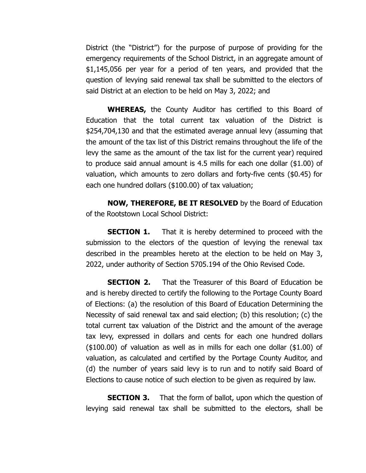District (the "District") for the purpose of purpose of providing for the emergency requirements of the School District, in an aggregate amount of \$1,145,056 per year for a period of ten years, and provided that the question of levying said renewal tax shall be submitted to the electors of said District at an election to be held on May 3, 2022; and

**WHEREAS,** the County Auditor has certified to this Board of Education that the total current tax valuation of the District is \$254,704,130 and that the estimated average annual levy (assuming that the amount of the tax list of this District remains throughout the life of the levy the same as the amount of the tax list for the current year) required to produce said annual amount is 4.5 mills for each one dollar (\$1.00) of valuation, which amounts to zero dollars and forty-five cents (\$0.45) for each one hundred dollars (\$100.00) of tax valuation;

**NOW, THEREFORE, BE IT RESOLVED** by the Board of Education of the Rootstown Local School District:

**SECTION 1.** That it is hereby determined to proceed with the submission to the electors of the question of levying the renewal tax described in the preambles hereto at the election to be held on May 3, 2022, under authority of Section 5705.194 of the Ohio Revised Code.

**SECTION 2.** That the Treasurer of this Board of Education be and is hereby directed to certify the following to the Portage County Board of Elections: (a) the resolution of this Board of Education Determining the Necessity of said renewal tax and said election; (b) this resolution; (c) the total current tax valuation of the District and the amount of the average tax levy, expressed in dollars and cents for each one hundred dollars (\$100.00) of valuation as well as in mills for each one dollar (\$1.00) of valuation, as calculated and certified by the Portage County Auditor, and (d) the number of years said levy is to run and to notify said Board of Elections to cause notice of such election to be given as required by law.

**SECTION 3.** That the form of ballot, upon which the question of levying said renewal tax shall be submitted to the electors, shall be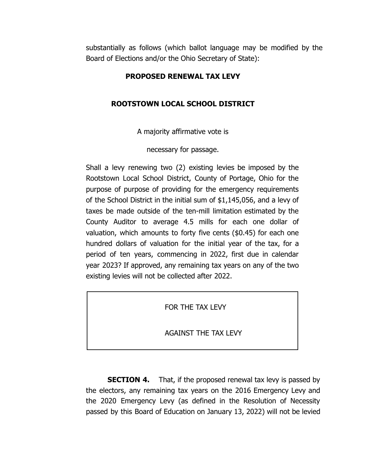substantially as follows (which ballot language may be modified by the Board of Elections and/or the Ohio Secretary of State):

# **PROPOSED RENEWAL TAX LEVY**

## **ROOTSTOWN LOCAL SCHOOL DISTRICT**

A majority affirmative vote is

necessary for passage.

Shall a levy renewing two (2) existing levies be imposed by the Rootstown Local School District, County of Portage, Ohio for the purpose of purpose of providing for the emergency requirements of the School District in the initial sum of \$1,145,056, and a levy of taxes be made outside of the ten-mill limitation estimated by the County Auditor to average 4.5 mills for each one dollar of valuation, which amounts to forty five cents (\$0.45) for each one hundred dollars of valuation for the initial year of the tax, for a period of ten years, commencing in 2022, first due in calendar year 2023? If approved, any remaining tax years on any of the two existing levies will not be collected after 2022.

FOR THE TAX LEVY

AGAINST THE TAX LEVY

**SECTION 4.** That, if the proposed renewal tax levy is passed by the electors, any remaining tax years on the 2016 Emergency Levy and the 2020 Emergency Levy (as defined in the Resolution of Necessity passed by this Board of Education on January 13, 2022) will not be levied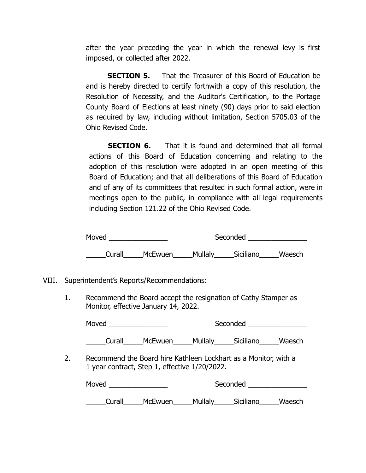after the year preceding the year in which the renewal levy is first imposed, or collected after 2022.

**SECTION 5.** That the Treasurer of this Board of Education be and is hereby directed to certify forthwith a copy of this resolution, the Resolution of Necessity, and the Auditor's Certification, to the Portage County Board of Elections at least ninety (90) days prior to said election as required by law, including without limitation, Section 5705.03 of the Ohio Revised Code.

**SECTION 6.** That it is found and determined that all formal actions of this Board of Education concerning and relating to the adoption of this resolution were adopted in an open meeting of this Board of Education; and that all deliberations of this Board of Education and of any of its committees that resulted in such formal action, were in meetings open to the public, in compliance with all legal requirements including Section 121.22 of the Ohio Revised Code.

| Moved  |         |         | Seconded  |        |
|--------|---------|---------|-----------|--------|
| Curall | McEwuen | Mullaly | Siciliano | Waesch |

- VIII. Superintendent's Reports/Recommendations:
	- 1. Recommend the Board accept the resignation of Cathy Stamper as Monitor, effective January 14, 2022.

| Moved  |                |         | Seconded  |        |
|--------|----------------|---------|-----------|--------|
|        |                |         |           |        |
| Curall | <b>McEwuen</b> | Mullaly | Siciliano | Waesch |

2. Recommend the Board hire Kathleen Lockhart as a Monitor, with a 1 year contract, Step 1, effective 1/20/2022.

| Moved  |         | Seconded |           |        |
|--------|---------|----------|-----------|--------|
| Curall | McEwuen | Mullaly  | Siciliano | Waesch |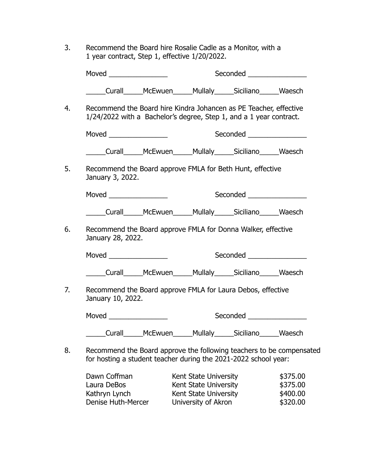3. Recommend the Board hire Rosalie Cadle as a Monitor, with a 1 year contract, Step 1, effective 1/20/2022.

|                   |                                                                                                                                         |  | Seconded _________________ |  |  |
|-------------------|-----------------------------------------------------------------------------------------------------------------------------------------|--|----------------------------|--|--|
|                   | Curall______McEwuen______Mullaly______Siciliano_______Waesch                                                                            |  |                            |  |  |
|                   | Recommend the Board hire Kindra Johancen as PE Teacher, effective<br>1/24/2022 with a Bachelor's degree, Step 1, and a 1 year contract. |  |                            |  |  |
|                   |                                                                                                                                         |  | Seconded ________________  |  |  |
|                   | Curall______McEwuen______Mullaly______Siciliano_______Waesch                                                                            |  |                            |  |  |
| January 3, 2022.  | Recommend the Board approve FMLA for Beth Hunt, effective                                                                               |  |                            |  |  |
|                   |                                                                                                                                         |  | Seconded                   |  |  |
|                   | Curall______McEwuen______Mullaly______Siciliano______Waesch                                                                             |  |                            |  |  |
| January 28, 2022. | Recommend the Board approve FMLA for Donna Walker, effective                                                                            |  |                            |  |  |
|                   |                                                                                                                                         |  | Seconded _________________ |  |  |
|                   | Curall_____McEwuen_____Mullaly_____Siciliano_____Waesch                                                                                 |  |                            |  |  |
|                   |                                                                                                                                         |  |                            |  |  |
|                   | Recommend the Board approve FMLA for Laura Debos, effective                                                                             |  |                            |  |  |
| January 10, 2022. |                                                                                                                                         |  | Seconded ________________  |  |  |

Dawn Coffman Kent State University \$375.00 Laura DeBos **Kent State University** \$375.00 Kathryn Lynch Kent State University<br>
Denise Huth-Mercer University of Akron \$320.00 University of Akron \$320.00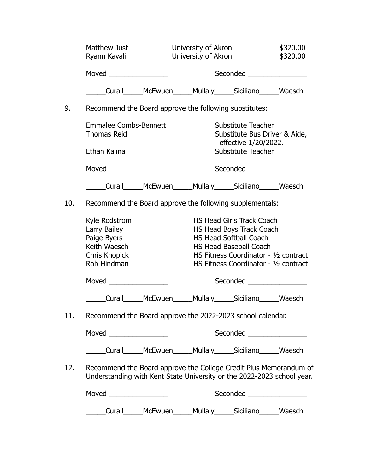|     | Matthew Just<br>Ryann Kavali                                                                                                                |                                                                  | University of Akron<br>University of Akron |                                                                                                                                                                                                           | \$320.00<br>\$320.00 |
|-----|---------------------------------------------------------------------------------------------------------------------------------------------|------------------------------------------------------------------|--------------------------------------------|-----------------------------------------------------------------------------------------------------------------------------------------------------------------------------------------------------------|----------------------|
|     |                                                                                                                                             |                                                                  | Seconded <u>Seconded</u>                   |                                                                                                                                                                                                           |                      |
|     |                                                                                                                                             | _____Curall______McEwuen______Mullaly______Siciliano______Waesch |                                            |                                                                                                                                                                                                           |                      |
| 9.  | Recommend the Board approve the following substitutes:                                                                                      |                                                                  |                                            |                                                                                                                                                                                                           |                      |
|     | <b>Emmalee Combs-Bennett</b><br><b>Thomas Reid</b>                                                                                          |                                                                  |                                            | Substitute Teacher<br>Substitute Bus Driver & Aide,<br>effective 1/20/2022.                                                                                                                               |                      |
|     | Ethan Kalina                                                                                                                                |                                                                  |                                            | Substitute Teacher                                                                                                                                                                                        |                      |
|     | Moved _________________                                                                                                                     |                                                                  |                                            | Seconded ________________                                                                                                                                                                                 |                      |
|     | _____Curall______McEwuen______Mullaly______Siciliano______Waesch                                                                            |                                                                  |                                            |                                                                                                                                                                                                           |                      |
| 10. | Recommend the Board approve the following supplementals:                                                                                    |                                                                  |                                            |                                                                                                                                                                                                           |                      |
|     | Kyle Rodstrom<br>Larry Bailey<br>Paige Byers<br>Keith Waesch<br>Chris Knopick<br>Rob Hindman                                                |                                                                  |                                            | HS Head Girls Track Coach<br>HS Head Boys Track Coach<br><b>HS Head Softball Coach</b><br><b>HS Head Baseball Coach</b><br>HS Fitness Coordinator - 1/2 contract<br>HS Fitness Coordinator - 1/2 contract |                      |
|     |                                                                                                                                             |                                                                  |                                            | Seconded <b>Exercise Seconded</b>                                                                                                                                                                         |                      |
|     |                                                                                                                                             | Curall______McEwuen______Mullaly______Siciliano______Waesch      |                                            |                                                                                                                                                                                                           |                      |
| 11. | Recommend the Board approve the 2022-2023 school calendar.                                                                                  |                                                                  |                                            |                                                                                                                                                                                                           |                      |
|     |                                                                                                                                             |                                                                  |                                            | Seconded _________________                                                                                                                                                                                |                      |
|     | _____Curall______McEwuen______Mullaly______Siciliano______Waesch                                                                            |                                                                  |                                            |                                                                                                                                                                                                           |                      |
| 12. | Recommend the Board approve the College Credit Plus Memorandum of<br>Understanding with Kent State University or the 2022-2023 school year. |                                                                  |                                            |                                                                                                                                                                                                           |                      |
|     |                                                                                                                                             |                                                                  |                                            | Seconded _________________                                                                                                                                                                                |                      |
|     |                                                                                                                                             | Curall______McEwuen______Mullaly______Siciliano______Waesch      |                                            |                                                                                                                                                                                                           |                      |